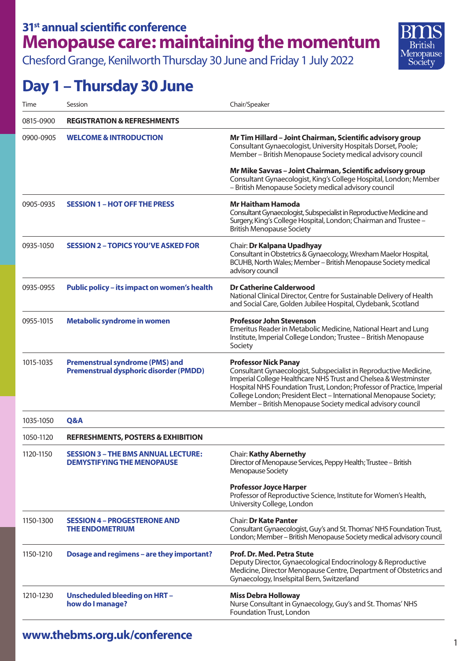Chesford Grange, Kenilworth Thursday 30 June and Friday 1 July 2022



## **Day 1 – Thursday 30 June**

| Time      | Session                                                                                 | Chair/Speaker                                                                                                                                                                                                                                                                                                                                                                      |
|-----------|-----------------------------------------------------------------------------------------|------------------------------------------------------------------------------------------------------------------------------------------------------------------------------------------------------------------------------------------------------------------------------------------------------------------------------------------------------------------------------------|
| 0815-0900 | <b>REGISTRATION &amp; REFRESHMENTS</b>                                                  |                                                                                                                                                                                                                                                                                                                                                                                    |
| 0900-0905 | <b>WELCOME &amp; INTRODUCTION</b>                                                       | Mr Tim Hillard - Joint Chairman, Scientific advisory group<br>Consultant Gynaecologist, University Hospitals Dorset, Poole;<br>Member - British Menopause Society medical advisory council                                                                                                                                                                                         |
|           |                                                                                         | Mr Mike Savvas - Joint Chairman, Scientific advisory group<br>Consultant Gynaecologist, King's College Hospital, London; Member<br>- British Menopause Society medical advisory council                                                                                                                                                                                            |
| 0905-0935 | <b>SESSION 1 - HOT OFF THE PRESS</b>                                                    | <b>Mr Haitham Hamoda</b><br>Consultant Gynaecologist, Subspecialist in Reproductive Medicine and<br>Surgery, King's College Hospital, London; Chairman and Trustee -<br><b>British Menopause Society</b>                                                                                                                                                                           |
| 0935-1050 | <b>SESSION 2 - TOPICS YOU'VE ASKED FOR</b>                                              | Chair: Dr Kalpana Upadhyay<br>Consultant in Obstetrics & Gynaecology, Wrexham Maelor Hospital,<br>BCUHB, North Wales; Member - British Menopause Society medical<br>advisory council                                                                                                                                                                                               |
| 0935-0955 | <b>Public policy - its impact on women's health</b>                                     | <b>Dr Catherine Calderwood</b><br>National Clinical Director, Centre for Sustainable Delivery of Health<br>and Social Care, Golden Jubilee Hospital, Clydebank, Scotland                                                                                                                                                                                                           |
| 0955-1015 | Metabolic syndrome in women                                                             | <b>Professor John Stevenson</b><br>Emeritus Reader in Metabolic Medicine, National Heart and Lung<br>Institute, Imperial College London; Trustee - British Menopause<br>Society                                                                                                                                                                                                    |
| 1015-1035 | <b>Premenstrual syndrome (PMS) and</b><br><b>Premenstrual dysphoric disorder (PMDD)</b> | <b>Professor Nick Panay</b><br>Consultant Gynaecologist, Subspecialist in Reproductive Medicine,<br>Imperial College Healthcare NHS Trust and Chelsea & Westminster<br>Hospital NHS Foundation Trust, London; Professor of Practice, Imperial<br>College London; President Elect - International Menopause Society;<br>Member - British Menopause Society medical advisory council |
| 1035-1050 | Q&A                                                                                     |                                                                                                                                                                                                                                                                                                                                                                                    |
| 1050-1120 | <b>REFRESHMENTS, POSTERS &amp; EXHIBITION</b>                                           |                                                                                                                                                                                                                                                                                                                                                                                    |
| 1120-1150 | <b>SESSION 3 - THE BMS ANNUAL LECTURE:</b><br><b>DEMYSTIFYING THE MENOPAUSE</b>         | <b>Chair: Kathy Abernethy</b><br>Director of Menopause Services, Peppy Health; Trustee - British<br>Menopause Society                                                                                                                                                                                                                                                              |
|           |                                                                                         | <b>Professor Joyce Harper</b><br>Professor of Reproductive Science, Institute for Women's Health,<br>University College, London                                                                                                                                                                                                                                                    |
| 1150-1300 | <b>SESSION 4 - PROGESTERONE AND</b><br><b>THE ENDOMETRIUM</b>                           | <b>Chair: Dr Kate Panter</b><br>Consultant Gynaecologist, Guy's and St. Thomas' NHS Foundation Trust,<br>London; Member - British Menopause Society medical advisory council                                                                                                                                                                                                       |
| 1150-1210 | Dosage and regimens - are they important?                                               | Prof. Dr. Med. Petra Stute<br>Deputy Director, Gynaecological Endocrinology & Reproductive<br>Medicine, Director Menopause Centre, Department of Obstetrics and<br>Gynaecology, Inselspital Bern, Switzerland                                                                                                                                                                      |
| 1210-1230 | <b>Unscheduled bleeding on HRT-</b><br>how do I manage?                                 | <b>Miss Debra Holloway</b><br>Nurse Consultant in Gynaecology, Guy's and St. Thomas' NHS<br>Foundation Trust, London                                                                                                                                                                                                                                                               |

## <sup>1</sup> **www.thebms.org.uk/conference**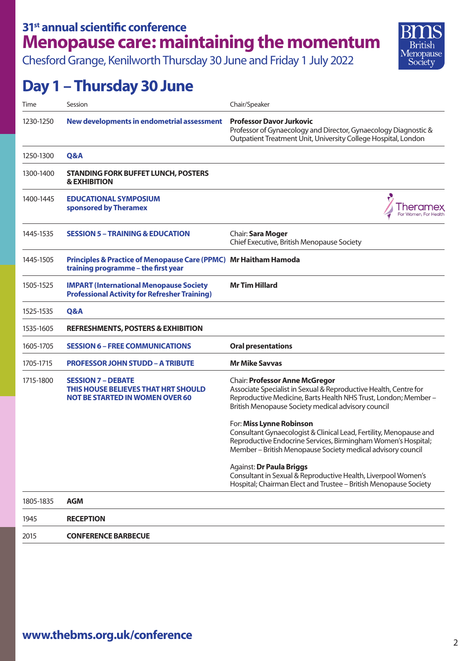Chesford Grange, Kenilworth Thursday 30 June and Friday 1 July 2022

#### Rritich Menopause Society

## **Day 1 – Thursday 30 June**

| Time      | Session                                                                                                    | Chair/Speaker                                                                                                                                                                                                                     |
|-----------|------------------------------------------------------------------------------------------------------------|-----------------------------------------------------------------------------------------------------------------------------------------------------------------------------------------------------------------------------------|
| 1230-1250 | New developments in endometrial assessment                                                                 | <b>Professor Davor Jurkovic</b><br>Professor of Gynaecology and Director, Gynaecology Diagnostic &<br>Outpatient Treatment Unit, University College Hospital, London                                                              |
| 1250-1300 | Q&A                                                                                                        |                                                                                                                                                                                                                                   |
| 1300-1400 | <b>STANDING FORK BUFFET LUNCH, POSTERS</b><br><b>&amp; EXHIBITION</b>                                      |                                                                                                                                                                                                                                   |
| 1400-1445 | <b>EDUCATIONAL SYMPOSIUM</b><br>sponsored by Theramex                                                      | For Women, For Healt                                                                                                                                                                                                              |
| 1445-1535 | <b>SESSION 5 – TRAINING &amp; EDUCATION</b>                                                                | Chair: Sara Moger<br>Chief Executive, British Menopause Society                                                                                                                                                                   |
| 1445-1505 | Principles & Practice of Menopause Care (PPMC) Mr Haitham Hamoda<br>training programme - the first year    |                                                                                                                                                                                                                                   |
| 1505-1525 | <b>IMPART (International Menopause Society</b><br><b>Professional Activity for Refresher Training)</b>     | <b>Mr Tim Hillard</b>                                                                                                                                                                                                             |
| 1525-1535 | Q&A                                                                                                        |                                                                                                                                                                                                                                   |
| 1535-1605 | <b>REFRESHMENTS, POSTERS &amp; EXHIBITION</b>                                                              |                                                                                                                                                                                                                                   |
| 1605-1705 | <b>SESSION 6 - FREE COMMUNICATIONS</b>                                                                     | <b>Oral presentations</b>                                                                                                                                                                                                         |
| 1705-1715 | <b>PROFESSOR JOHN STUDD - A TRIBUTE</b>                                                                    | <b>Mr Mike Savvas</b>                                                                                                                                                                                                             |
| 1715-1800 | <b>SESSION 7 - DEBATE</b><br>THIS HOUSE BELIEVES THAT HRT SHOULD<br><b>NOT BE STARTED IN WOMEN OVER 60</b> | <b>Chair: Professor Anne McGregor</b><br>Associate Specialist in Sexual & Reproductive Health, Centre for<br>Reproductive Medicine, Barts Health NHS Trust, London; Member-<br>British Menopause Society medical advisory council |
|           |                                                                                                            | For: Miss Lynne Robinson<br>Consultant Gynaecologist & Clinical Lead, Fertility, Menopause and<br>Reproductive Endocrine Services, Birmingham Women's Hospital;<br>Member – British Menopause Society medical advisory council    |
|           |                                                                                                            | Against: Dr Paula Briggs<br>Consultant in Sexual & Reproductive Health, Liverpool Women's<br>Hospital; Chairman Elect and Trustee - British Menopause Society                                                                     |
| 1805-1835 | <b>AGM</b>                                                                                                 |                                                                                                                                                                                                                                   |
| 1945      | <b>RECEPTION</b>                                                                                           |                                                                                                                                                                                                                                   |
| 2015      | <b>CONFERENCE BARBECUE</b>                                                                                 |                                                                                                                                                                                                                                   |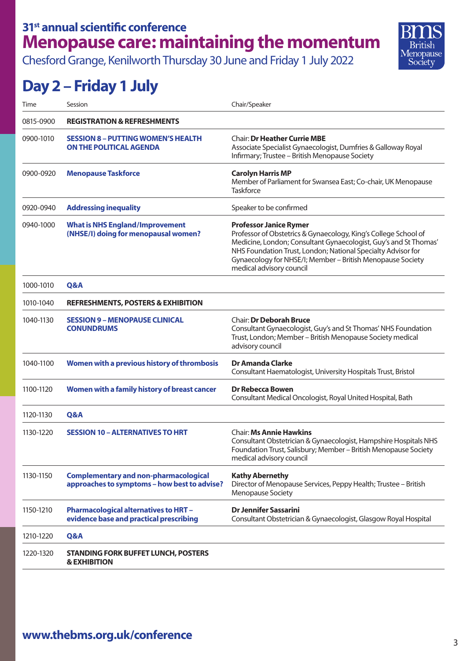Chesford Grange, Kenilworth Thursday 30 June and Friday 1 July 2022



# **Day 2 – Friday 1 July**

| Time      | Session                                                                                      | Chair/Speaker                                                                                                                                                                                                                                                                                                                  |
|-----------|----------------------------------------------------------------------------------------------|--------------------------------------------------------------------------------------------------------------------------------------------------------------------------------------------------------------------------------------------------------------------------------------------------------------------------------|
| 0815-0900 | <b>REGISTRATION &amp; REFRESHMENTS</b>                                                       |                                                                                                                                                                                                                                                                                                                                |
| 0900-1010 | <b>SESSION 8 - PUTTING WOMEN'S HEALTH</b><br><b>ON THE POLITICAL AGENDA</b>                  | <b>Chair: Dr Heather Currie MBE</b><br>Associate Specialist Gynaecologist, Dumfries & Galloway Royal<br>Infirmary; Trustee - British Menopause Society                                                                                                                                                                         |
| 0900-0920 | <b>Menopause Taskforce</b>                                                                   | <b>Carolyn Harris MP</b><br>Member of Parliament for Swansea East; Co-chair, UK Menopause<br><b>Taskforce</b>                                                                                                                                                                                                                  |
| 0920-0940 | <b>Addressing inequality</b>                                                                 | Speaker to be confirmed                                                                                                                                                                                                                                                                                                        |
| 0940-1000 | <b>What is NHS England/Improvement</b><br>(NHSE/I) doing for menopausal women?               | <b>Professor Janice Rymer</b><br>Professor of Obstetrics & Gynaecology, King's College School of<br>Medicine, London; Consultant Gynaecologist, Guy's and St Thomas'<br>NHS Foundation Trust, London; National Specialty Advisor for<br>Gynaecology for NHSE/I; Member - British Menopause Society<br>medical advisory council |
| 1000-1010 | Q&A                                                                                          |                                                                                                                                                                                                                                                                                                                                |
| 1010-1040 | <b>REFRESHMENTS, POSTERS &amp; EXHIBITION</b>                                                |                                                                                                                                                                                                                                                                                                                                |
| 1040-1130 | <b>SESSION 9 - MENOPAUSE CLINICAL</b><br><b>CONUNDRUMS</b>                                   | <b>Chair: Dr Deborah Bruce</b><br>Consultant Gynaecologist, Guy's and St Thomas' NHS Foundation<br>Trust, London; Member - British Menopause Society medical<br>advisory council                                                                                                                                               |
| 1040-1100 | Women with a previous history of thrombosis                                                  | <b>Dr Amanda Clarke</b><br>Consultant Haematologist, University Hospitals Trust, Bristol                                                                                                                                                                                                                                       |
| 1100-1120 | Women with a family history of breast cancer                                                 | <b>Dr Rebecca Bowen</b><br>Consultant Medical Oncologist, Royal United Hospital, Bath                                                                                                                                                                                                                                          |
| 1120-1130 | Q&A                                                                                          |                                                                                                                                                                                                                                                                                                                                |
| 1130-1220 | <b>SESSION 10 - ALTERNATIVES TO HRT</b>                                                      | <b>Chair: Ms Annie Hawkins</b><br>Consultant Obstetrician & Gynaecologist, Hampshire Hospitals NHS<br>Foundation Trust, Salisbury; Member - British Menopause Society<br>medical advisory council                                                                                                                              |
| 1130-1150 | <b>Complementary and non-pharmacological</b><br>approaches to symptoms - how best to advise? | <b>Kathy Abernethy</b><br>Director of Menopause Services, Peppy Health; Trustee - British<br>Menopause Society                                                                                                                                                                                                                 |
| 1150-1210 | <b>Pharmacological alternatives to HRT-</b><br>evidence base and practical prescribing       | <b>Dr Jennifer Sassarini</b><br>Consultant Obstetrician & Gynaecologist, Glasgow Royal Hospital                                                                                                                                                                                                                                |
| 1210-1220 | Q&A                                                                                          |                                                                                                                                                                                                                                                                                                                                |
| 1220-1320 | <b>STANDING FORK BUFFET LUNCH, POSTERS</b><br><b>&amp; EXHIBITION</b>                        |                                                                                                                                                                                                                                                                                                                                |